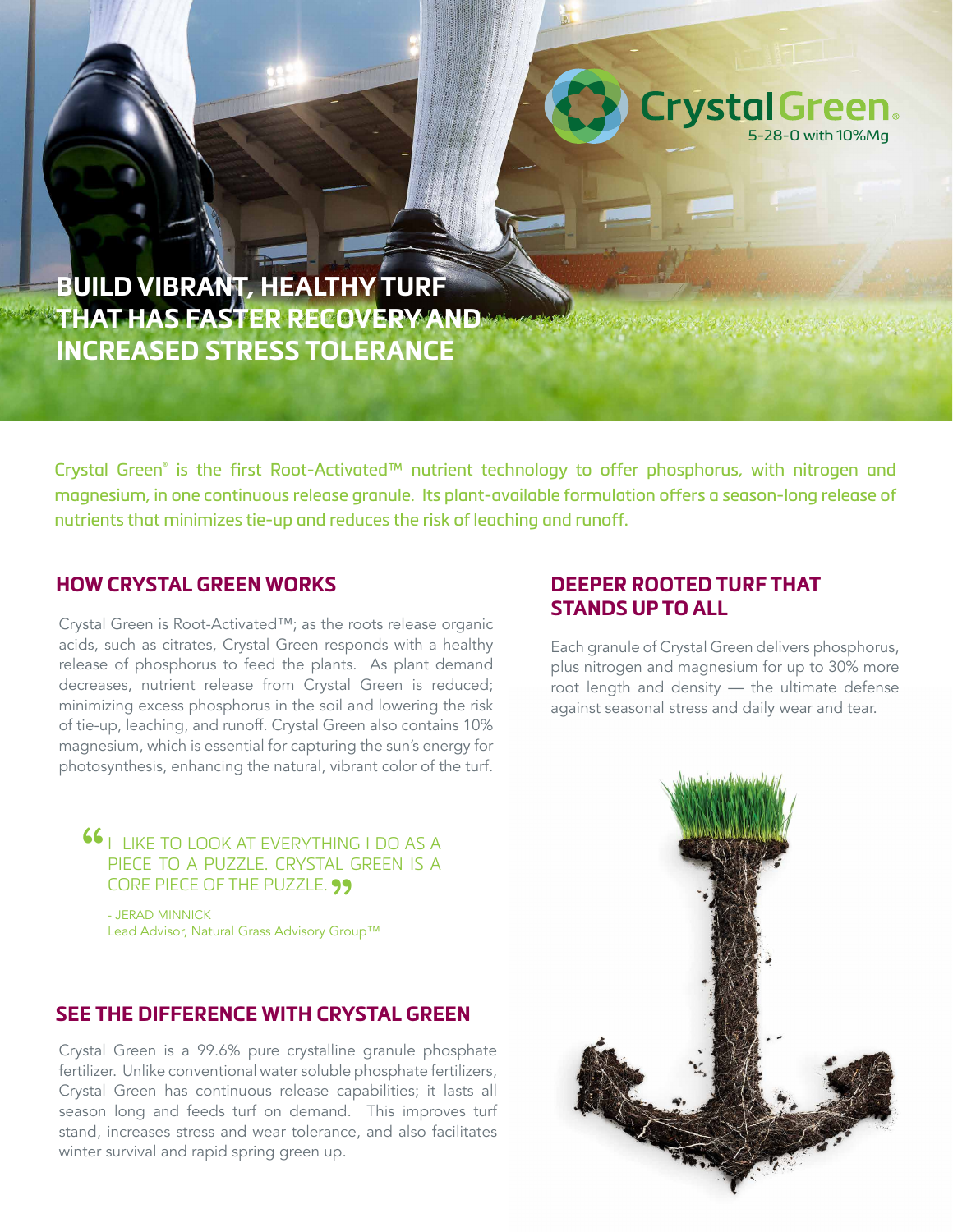

**BUILD VIBRANT, HEALTHY TURF THAT HAS FASTER RECOVERY AND INCREASED STRESS TOLERANCE**

Crystal Green® is the first Root-Activated™ nutrient technology to offer phosphorus, with nitrogen and magnesium, in one continuous release granule. Its plant-available formulation offers a season-long release of nutrients that minimizes tie-up and reduces the risk of leaching and runoff.

### **HOW CRYSTAL GREEN WORKS**

Crystal Green is Root-Activated™; as the roots release organic acids, such as citrates, Crystal Green responds with a healthy release of phosphorus to feed the plants. As plant demand decreases, nutrient release from Crystal Green is reduced; minimizing excess phosphorus in the soil and lowering the risk of tie-up, leaching, and runoff. Crystal Green also contains 10% magnesium, which is essential for capturing the sun's energy for photosynthesis, enhancing the natural, vibrant color of the turf.

**66** I LIKE TO LOOK AT EVERYTHING I DO AS A PIECE TO A PUZZLE. CRYSTAL GREEN IS A

CORE PIECE OF THE PUZZLE. **99**<br>- Jerad Minnick<br>Load Adviser Natural Cross Adviser: Cro - JERAD MINNICK Lead Advisor, Natural Grass Advisory Group™

## **SEE THE DIFFERENCE WITH CRYSTAL GREEN**

Crystal Green is a 99.6% pure crystalline granule phosphate fertilizer. Unlike conventional water soluble phosphate fertilizers, Crystal Green has continuous release capabilities; it lasts all season long and feeds turf on demand. This improves turf stand, increases stress and wear tolerance, and also facilitates winter survival and rapid spring green up.

# **DEEPER ROOTED TURF THAT STANDS UP TO ALL**

Each granule of Crystal Green delivers phosphorus, plus nitrogen and magnesium for up to 30% more root length and density — the ultimate defense against seasonal stress and daily wear and tear.